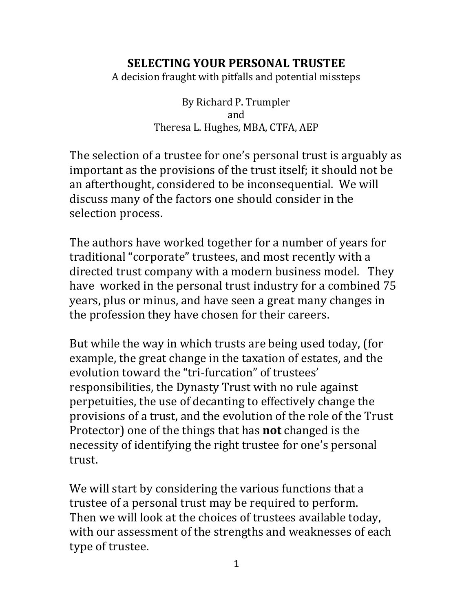#### **SELECTING YOUR PERSONAL TRUSTEE**

A decision fraught with pitfalls and potential missteps

By Richard P. Trumpler and Theresa L. Hughes, MBA, CTFA, AEP

The selection of a trustee for one's personal trust is arguably as important as the provisions of the trust itself; it should not be an afterthought, considered to be inconsequential. We will discuss many of the factors one should consider in the selection process.

The authors have worked together for a number of years for traditional "corporate" trustees, and most recently with a directed trust company with a modern business model. They have worked in the personal trust industry for a combined 75 years, plus or minus, and have seen a great many changes in the profession they have chosen for their careers.

But while the way in which trusts are being used today, (for example, the great change in the taxation of estates, and the evolution toward the "tri-furcation" of trustees' responsibilities, the Dynasty Trust with no rule against perpetuities, the use of decanting to effectively change the provisions of a trust, and the evolution of the role of the Trust Protector) one of the things that has **not** changed is the necessity of identifying the right trustee for one's personal trust.

We will start by considering the various functions that a trustee of a personal trust may be required to perform. Then we will look at the choices of trustees available today, with our assessment of the strengths and weaknesses of each type of trustee.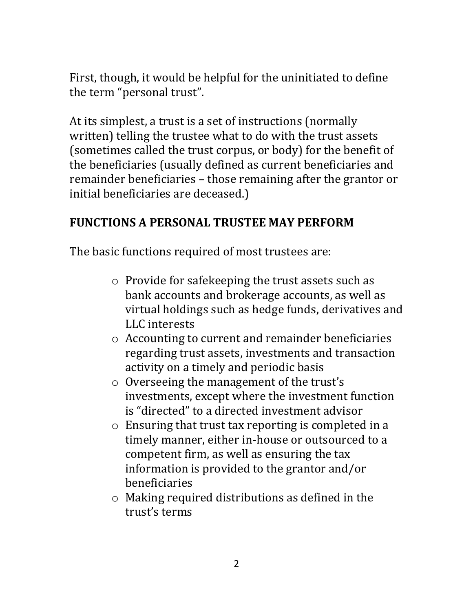First, though, it would be helpful for the uninitiated to define the term "personal trust".

At its simplest, a trust is a set of instructions (normally written) telling the trustee what to do with the trust assets (sometimes called the trust corpus, or body) for the benefit of the beneficiaries (usually defined as current beneficiaries and remainder beneficiaries – those remaining after the grantor or initial beneficiaries are deceased.)

#### **FUNCTIONS A PERSONAL TRUSTEE MAY PERFORM**

The basic functions required of most trustees are:

- o Provide for safekeeping the trust assets such as bank accounts and brokerage accounts, as well as virtual holdings such as hedge funds, derivatives and LLC interests
- o Accounting to current and remainder beneficiaries regarding trust assets, investments and transaction activity on a timely and periodic basis
- o Overseeing the management of the trust's investments, except where the investment function is "directed" to a directed investment advisor
- o Ensuring that trust tax reporting is completed in a timely manner, either in-house or outsourced to a competent firm, as well as ensuring the tax information is provided to the grantor and/or beneficiaries
- o Making required distributions as defined in the trust's terms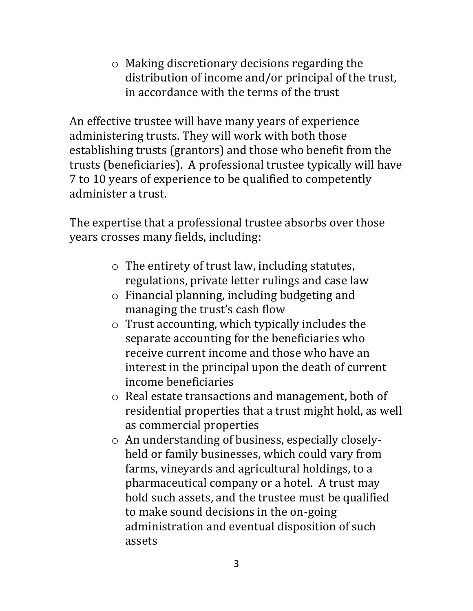o Making discretionary decisions regarding the distribution of income and/or principal of the trust, in accordance with the terms of the trust

An effective trustee will have many years of experience administering trusts. They will work with both those establishing trusts (grantors) and those who benefit from the trusts (beneficiaries). A professional trustee typically will have 7 to 10 years of experience to be qualified to competently administer a trust.

The expertise that a professional trustee absorbs over those years crosses many fields, including:

- o The entirety of trust law, including statutes, regulations, private letter rulings and case law
- o Financial planning, including budgeting and managing the trust's cash flow
- o Trust accounting, which typically includes the separate accounting for the beneficiaries who receive current income and those who have an interest in the principal upon the death of current income beneficiaries
- o Real estate transactions and management, both of residential properties that a trust might hold, as well as commercial properties
- o An understanding of business, especially closelyheld or family businesses, which could vary from farms, vineyards and agricultural holdings, to a pharmaceutical company or a hotel. A trust may hold such assets, and the trustee must be qualified to make sound decisions in the on-going administration and eventual disposition of such assets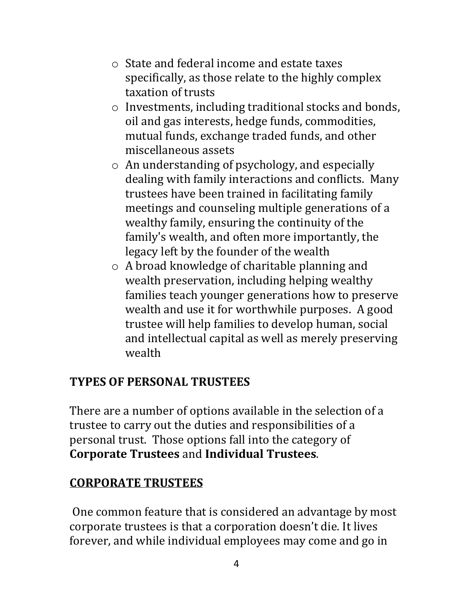- o State and federal income and estate taxes specifically, as those relate to the highly complex taxation of trusts
- o Investments, including traditional stocks and bonds, oil and gas interests, hedge funds, commodities, mutual funds, exchange traded funds, and other miscellaneous assets
- o An understanding of psychology, and especially dealing with family interactions and conflicts. Many trustees have been trained in facilitating family meetings and counseling multiple generations of a wealthy family, ensuring the continuity of the family's wealth, and often more importantly, the legacy left by the founder of the wealth
- o A broad knowledge of charitable planning and wealth preservation, including helping wealthy families teach younger generations how to preserve wealth and use it for worthwhile purposes. A good trustee will help families to develop human, social and intellectual capital as well as merely preserving wealth

# **TYPES OF PERSONAL TRUSTEES**

There are a number of options available in the selection of a trustee to carry out the duties and responsibilities of a personal trust. Those options fall into the category of **Corporate Trustees** and **Individual Trustees**.

# **CORPORATE TRUSTEES**

One common feature that is considered an advantage by most corporate trustees is that a corporation doesn't die. It lives forever, and while individual employees may come and go in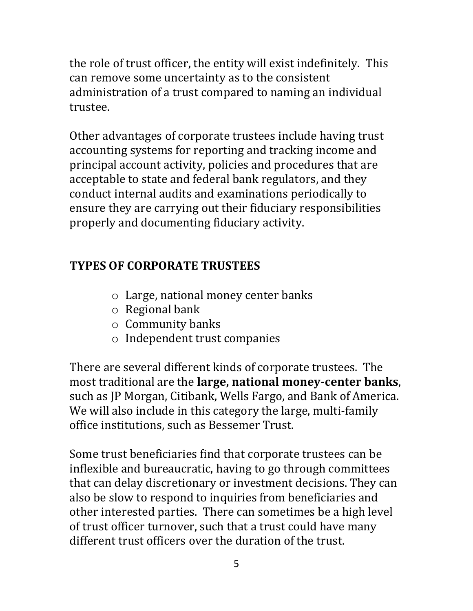the role of trust officer, the entity will exist indefinitely. This can remove some uncertainty as to the consistent administration of a trust compared to naming an individual trustee.

Other advantages of corporate trustees include having trust accounting systems for reporting and tracking income and principal account activity, policies and procedures that are acceptable to state and federal bank regulators, and they conduct internal audits and examinations periodically to ensure they are carrying out their fiduciary responsibilities properly and documenting fiduciary activity.

# **TYPES OF CORPORATE TRUSTEES**

- o Large, national money center banks
- o Regional bank
- o Community banks
- o Independent trust companies

There are several different kinds of corporate trustees. The most traditional are the **large, national money-center banks**, such as JP Morgan, Citibank, Wells Fargo, and Bank of America. We will also include in this category the large, multi-family office institutions, such as Bessemer Trust.

Some trust beneficiaries find that corporate trustees can be inflexible and bureaucratic, having to go through committees that can delay discretionary or investment decisions. They can also be slow to respond to inquiries from beneficiaries and other interested parties. There can sometimes be a high level of trust officer turnover, such that a trust could have many different trust officers over the duration of the trust.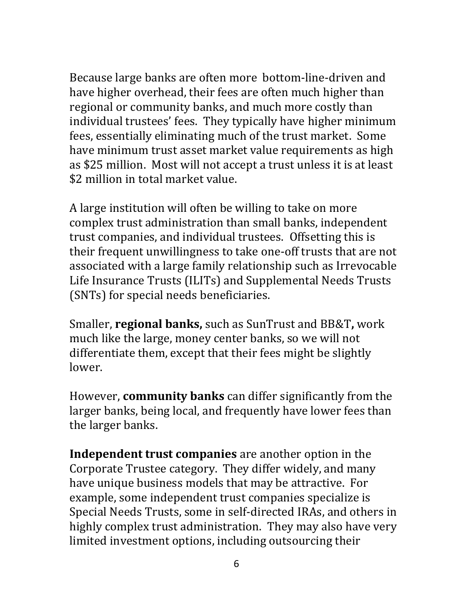Because large banks are often more bottom-line-driven and have higher overhead, their fees are often much higher than regional or community banks, and much more costly than individual trustees' fees. They typically have higher minimum fees, essentially eliminating much of the trust market. Some have minimum trust asset market value requirements as high as \$25 million. Most will not accept a trust unless it is at least \$2 million in total market value.

A large institution will often be willing to take on more complex trust administration than small banks, independent trust companies, and individual trustees. Offsetting this is their frequent unwillingness to take one-off trusts that are not associated with a large family relationship such as Irrevocable Life Insurance Trusts (ILITs) and Supplemental Needs Trusts (SNTs) for special needs beneficiaries.

Smaller, **regional banks,** such as SunTrust and BB&T**,** work much like the large, money center banks, so we will not differentiate them, except that their fees might be slightly lower.

However, **community banks** can differ significantly from the larger banks, being local, and frequently have lower fees than the larger banks.

**Independent trust companies** are another option in the Corporate Trustee category. They differ widely, and many have unique business models that may be attractive. For example, some independent trust companies specialize is Special Needs Trusts, some in self-directed IRAs, and others in highly complex trust administration. They may also have very limited investment options, including outsourcing their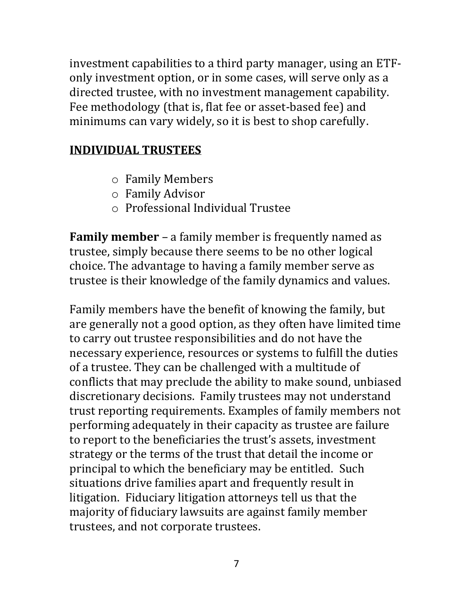investment capabilities to a third party manager, using an ETFonly investment option, or in some cases, will serve only as a directed trustee, with no investment management capability. Fee methodology (that is, flat fee or asset-based fee) and minimums can vary widely, so it is best to shop carefully.

#### **INDIVIDUAL TRUSTEES**

- o Family Members
- o Family Advisor
- o Professional Individual Trustee

**Family member** – a family member is frequently named as trustee, simply because there seems to be no other logical choice. The advantage to having a family member serve as trustee is their knowledge of the family dynamics and values.

Family members have the benefit of knowing the family, but are generally not a good option, as they often have limited time to carry out trustee responsibilities and do not have the necessary experience, resources or systems to fulfill the duties of a trustee. They can be challenged with a multitude of conflicts that may preclude the ability to make sound, unbiased discretionary decisions. Family trustees may not understand trust reporting requirements. Examples of family members not performing adequately in their capacity as trustee are failure to report to the beneficiaries the trust's assets, investment strategy or the terms of the trust that detail the income or principal to which the beneficiary may be entitled. Such situations drive families apart and frequently result in litigation. Fiduciary litigation attorneys tell us that the majority of fiduciary lawsuits are against family member trustees, and not corporate trustees.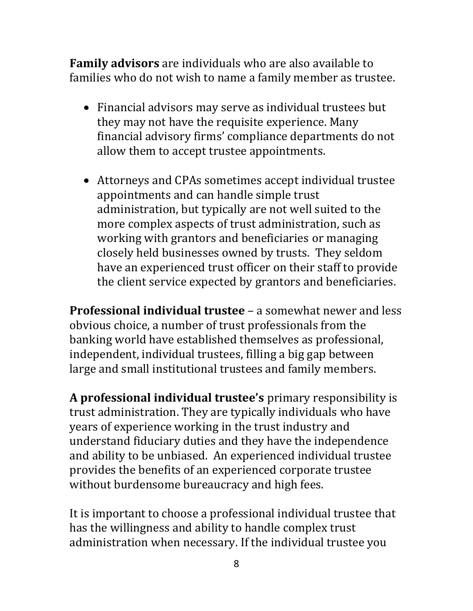**Family advisors** are individuals who are also available to families who do not wish to name a family member as trustee.

- Financial advisors may serve as individual trustees but they may not have the requisite experience. Many financial advisory firms' compliance departments do not allow them to accept trustee appointments.
- Attorneys and CPAs sometimes accept individual trustee appointments and can handle simple trust administration, but typically are not well suited to the more complex aspects of trust administration, such as working with grantors and beneficiaries or managing closely held businesses owned by trusts. They seldom have an experienced trust officer on their staff to provide the client service expected by grantors and beneficiaries.

**Professional individual trustee** – a somewhat newer and less obvious choice, a number of trust professionals from the banking world have established themselves as professional, independent, individual trustees, filling a big gap between large and small institutional trustees and family members.

**A professional individual trustee's** primary responsibility is trust administration. They are typically individuals who have years of experience working in the trust industry and understand fiduciary duties and they have the independence and ability to be unbiased. An experienced individual trustee provides the benefits of an experienced corporate trustee without burdensome bureaucracy and high fees.

It is important to choose a professional individual trustee that has the willingness and ability to handle complex trust administration when necessary. If the individual trustee you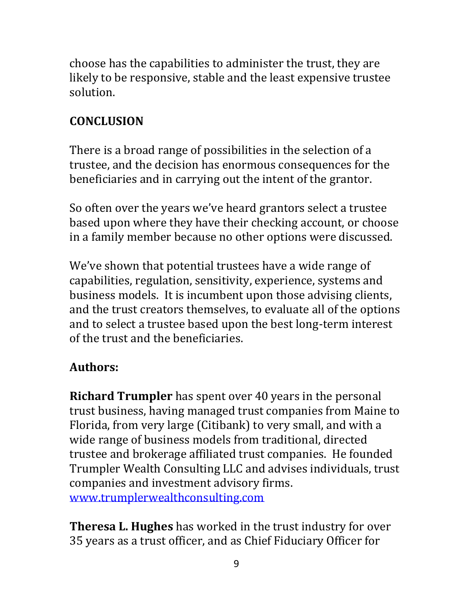choose has the capabilities to administer the trust, they are likely to be responsive, stable and the least expensive trustee solution.

# **CONCLUSION**

There is a broad range of possibilities in the selection of a trustee, and the decision has enormous consequences for the beneficiaries and in carrying out the intent of the grantor.

So often over the years we've heard grantors select a trustee based upon where they have their checking account, or choose in a family member because no other options were discussed.

We've shown that potential trustees have a wide range of capabilities, regulation, sensitivity, experience, systems and business models. It is incumbent upon those advising clients, and the trust creators themselves, to evaluate all of the options and to select a trustee based upon the best long-term interest of the trust and the beneficiaries.

# **Authors:**

**Richard Trumpler** has spent over 40 years in the personal trust business, having managed trust companies from Maine to Florida, from very large (Citibank) to very small, and with a wide range of business models from traditional, directed trustee and brokerage affiliated trust companies. He founded Trumpler Wealth Consulting LLC and advises individuals, trust companies and investment advisory firms. [www.trumplerwealthconsulting.com](http://www.trumplerwealthconsulting.com/)

**Theresa L. Hughes** has worked in the trust industry for over 35 years as a trust officer, and as Chief Fiduciary Officer for